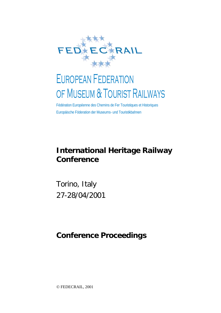

# European Federation of Museum & Tourist Railways

Fédération Européenne des Chemins de Fer Touristiques et Historiques Europäische Föderation der Museums- und Touristikbahnen

## **International Heritage Railway Conference**

Torino, Italy 27-28/04/2001

### **Conference Proceedings**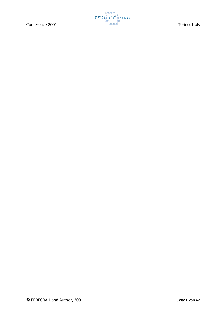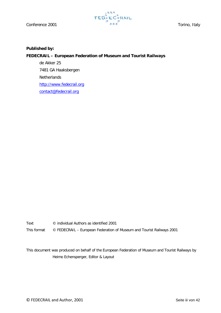



### **Published by: FEDECRAIL – European Federation of Museum and Tourist Railways**

de Akker 25 7481 GA Haaksbergen **Netherlands** [http://www.fedecrail.org](http://www.fedecrail.org/) [contact@fedecrail.org](mailto:contact@fedecrail.org) 

Text © individual Authors as identified 2001 This format © FEDECRAIL – European Federation of Museum and Tourist Railways 2001

This document was produced on behalf of the European Federation of Museum and Tourist Railways by Heimo Echensperger, Editor & Layout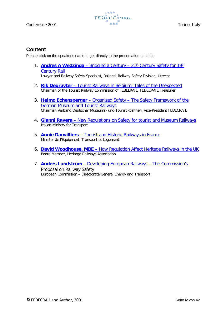

### **Content**

Please click on the speaker's name to get directly to the presentation or script.

- 1. **Andres A Wedzinga**  [Bridging a Century 21st](#page-4-0) Century Safety for 19th [Century Rail](#page-4-0) Lawyer and Railway Safety Specialist, Railned, Railway Safety Division, Utrecht
- 2. **Rik Degruyter**  [Tourist Railways in Belgium: Tales of the Unexpected](#page-13-0) Chairman of the Tourist Railway Commission of FEBELRAIL, FEDECRAIL Treasurer
- 3. **Heimo Echensperger** [Organized Safety The Safety Framework of the](#page-17-0)  [German Museum and Tourist Railways](#page-17-0) Chairman Verband Deutscher Museums- und Touristikbahnen, Vice-President FEDECRAIL
- 4. **Gianni Ravera**  [New Regulations on Safety for tourist and Museum Railways](#page-27-0) Italian Ministry for Transport
- 5. **Annie Dauvilliers** [Tourist and Historic Railways in France](#page-33-0) Minister de l'Equipment, Transport et Logement
- 6. **David Woodhouse, MBE**  [How Regulation Affect Heritage Railways in the UK](#page-35-0) Board Member, Heritage Railways Association
- 7. **Anders Lundström**  [Developing European Railways The Commission's](#page-39-0) Proposal on Railway Safety European Commission – Directorate General Energy and Transport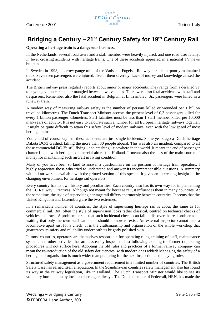

### <span id="page-4-0"></span>**Bridging a Century – 21st Century Safety for 19th Century Rail**

#### **Operating a heritage train is a dangerous business.**

In the Netherlands, several road users and a staff member were heavily injured, and one road user fatally, in level crossing accidents with heritage trains. One of these accidents appeared in a national TV news bulletin.

In Sweden in 1998, a narrow gauge train of the Vadstena-Fogelsta Railway derailed at poorly maintained track. Seventeen passengers were injured, five of them severely. Lack of money and knowledge caused the accident.

The British railway press regularly reports about minor or major accidents. They range from a derailed 9F to a young volunteer shunter mangled between two vehicles. There were also fatal accidents with staff and trespassers. Remember also the fatal accident in Belgium at Li Trambleu. Six passengers were killed in a runaway train.

A modern way of measuring railway safety is the number of persons killed or wounded per 1 billion travelled kilometres. The Dutch Transport Minister accepts the present level of 0,3 passengers killed for every 1 billion passenger kilometres. Staff fatalities must be less than 1 staff member killed per 10.000 man-years of activity. It is not easy to calculate such a number for all European heritage railways together. It might be quite difficult to attain this safety level of modern railways, even with the low speed of most heritage trains.

You could of course say that these accidents are just single incidents. Some years ago a Dutch heritage Dakota DC-3 crashed, killing the more than 30 people aboard. This was also an incident, compared to all those commercial DC-3's still flying - and crashing - elsewhere in the world. It meant the end of passenger charter flights with heritage commercial aircraft in Holland. It meant also the loss of the main source of money for maintaining such aircraft in flying condition.

Many of you have been so kind to answer a questionnaire on the position of heritage train operators. I highly appreciate those who tried to understand and answer its incomprehensible questions. A summary with all answers is available with the printed version of this speech. It gives an interesting insight in the changing environment for heritage rail operators.

Every country has its own history and peculiarities. Each country also has its own way for implementing the EU Railway Directives. Although not meant for heritage rail, it influences them in many countries. At the same time, the style of supervising heritage rail differs enormously between countries. It seems that the United Kingdom and Luxemburg are the two extremes.

In a remarkable number of countries, the style of supervising heritage rail is about the same as for commercial rail. But: often the style of supervision looks rather classical, centred on technical checks of vehicles and track. A problem here is that such incidental checks can fail to discover the real problems-inwaiting that only the own staff can - and should - know to exist. An external inspector cannot take a locomotive apart just for a check! It is the craftsmanship and organisation of the whole workshop that guarantees its safety and reliability underneath its brightly polished skin.

In most countries, operators are themselves responsible for operating rules, training of staff, maintenance systems and other activities that are less easily inspected. Just following existing (or former!) operating procedures will not suffice here. Adopting the old rules and practices of a former railway company can mean the re-introduction of the old safety deficiencies, with modern ones added! Managing the safety of a heritage rail organisation is much wider than preparing for the next inspection and obeying rules.

Structured safety management as a government requirement in a limited number of countries. The British Safety Case has earned itself a reputation. In the Scandinavian countries safety management also has found its way in the railway legislation, like in Holland. The Dutch Transport Minister would like to see its voluntary introduction by local and heritage railways. The Dutch member of Fedecrail, HRN, has made the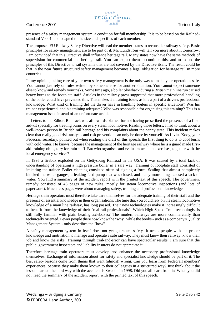

presence of a safety management system, a condition for full membership. It is to be based on the Railnedstandard V-001, and adapted to the size and specifics of each member.

The proposed EU Railway Safety Directive will lead the member-states to reconsider railway safety. Basic principles for safety management are to be part of it. Mr. Lundström will tell you more about it tomorrow. I am convinced that this Directive shall influence heritage rail. Many states now have the same methods of supervision for commercial and heritage rail. You can expect them to continue this, and to extend the principles of this Directive to rail systems that are not covered by the Directive itself. The result could be that in the near future structured safety management becomes a legal obligation for heritage rail in more countries.

In my opinion, taking care of your own safety management is the only way to make your operations safe. You cannot just rely on rules written by someone else for another situation. You cannot expect someone else to know and remedy your risks. Some time ago, a boiler blowback during a British main line run caused heavy burns to the footplate staff. Articles in the railway press suggested that more professional handling of the boiler could have prevented this. That makes it a training issue, as it is a part of a driver's professional knowledge. What kind of training did the driver have in handling boilers in specific situations? Was his trainer experienced, and his training adequate? Who was responsible for organising this training? This is a management issue instead of an unfortunate accident.

In Letters to the Editor, Railtrack was afterwards blamed for not having prescribed the presence of a firstaid-kit specially for treating burns on every steam locomotive. Reading those letters, I had to think about a well-known person in British rail heritage and his complaints about the nanny state. This incident makes clear that really good risk-analysis and risk prevention can only be done by yourself. As Livius Kooy, your Fedecrail secretary, pointed out when reading the draft of this speech, the first thing to do is to cool burns with cold water. He knows, because the management of the heritage railway where he is a guard made firstaid-training obligatory for train staff. But who organises and evaluates accident exercises, together with the local emergency services?

In 1995 a firebox exploded on the Gettysburg Railroad in the USA. It was caused by a total lack of understanding of operating a high pressure boiler in a safe way. Training of footplate staff consisted of imitating the trainer. Boiler cleaning consisted often of signing a form. Scaling that almost completely blocked the water gauges, a leaking feed pump that was closed, and many more things caused a lack of water. You find a summary of the accident report with the printed text of this speech. The government remedy consisted of 46 pages of new rules, mostly for steam locomotive inspections (and lots of paperwork). Much less pages were about managing safety, training and professional knowledge.

Heritage train operators must therefore take care themselves for the adequate training of their staff and the presence of essential knowledge in their organisations. The time that you could rely on the steam locomotive knowledge of a main line railway, has long passed. Their new technologies make it increasingly difficult to benefit from the knowledge of their "real rail professionals". Which High Speed Train technologist is still fully familiar with plain bearing axleboxes? The modern railways are more commercially than technically oriented. Fewer people there now know the "why" while the books - such as a company's Quality Management System - only describes the "how".

A safety management system in itself does not yet guarantee safety. It needs people with the proper knowledge and motivation to manage and operate a safe railway. They must know their railway, know their job and know the risks. Training through trial-and-error can have spectacular results. I am sure that the public, government inspectors and liability insurers do not appreciate it.

Therefore heritage train operators must develop and enhance the necessary professional knowledge themselves. Exchange of information about for safety and specialist knowledge should be part of it. The best safety lessons come from things that went (almost) wrong. Can you learn from Fedecrail members' experiences, because they make them known to their colleagues in a structured way? Just think about the lesson learned the hard way with the accident is Sweden in 1998. Did you all learn from it? When you did not, read the summary of the accident report, with the printed text of this speech.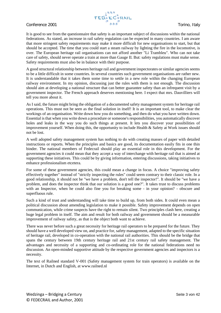



It is good to see from the questionnaire that safety is an important subject of discussions within the national federations. As stated, an increase in rail safety regulation can be expected in many countries. I am aware that more stringent safety requirements may make it more difficult for new organisations to start, but that should be accepted. The time that you could start a steam railway by lighting the fire in the locomotive, is over. The European heritage rail organisations can not afford another "Li Trambleu". Who can not take care of safety, should never operate a train at more than Gauge II. But: safety regulations must make sense. Safety requirements must also be in balance with their purpose.

A good structural relationship between heritage rail and government inspectorates or similar agencies seems to be a little difficult in some countries. In several countries such government organisations are rather new. It is understandable that it takes them some time to settle in a new role within the changing European railway environment. In my opinion, discussing just the rules with them is not enough. The discussion should aim at developing a national structure that can better guarantee safety than an infrequent visit by a government inspector. The French approach deserves mentioning here. I expect that mrs. Dauvilliers will tell you more about it.

As I said, the future might bring the obligation of a documented safety management system for heritage rail operations. This must not be seen as the final solution in itself! It is an important tool, to make clear the workings of an organisation. Write down how you do something, and then do what you have written down. Essential is that when you write down a procedure or someone's responsibilities, you automatically discover holes and leaks in the way you do such things at present. It lets you discover your possibilities of improvement yourself. When doing this, the opportunity to include Health & Safety at Work issues should not be lost.

A well adopted safety management system has nothing to do with creating masses of paper with detailed instructions or reports. When the principles and basics are good, its documentation easily fits in one thin binder. The national members of Fedecrail should play an essential role in this development. For the government agencies it could mean that they accept a way of interchange with heritage rail that is aimed at supporting these initiatives. This could be by giving information, entering discussions, taking initiatives to enhance professionalism etcetera.

For some of these government agencies, this could mean a change in focus. A choice "improving safety effectively together" instead of "strictly inspecting the rules" could seem contrary to their classic role. In a good relationship, it should not be "we have a problem, don't tell the inspector!". It should be "we have a problem, and does the inspector think that our solution is a good one?". It takes trust to discuss problems with an Inspector, when he could also fine you for breaking some - in your opinion? - obscure and superfluous rule.

Such a kind of trust and understanding will take time to build up, from both sides. It could even mean a political discussion about amending legislation to make it possible. Safety improvement depends on open communication, while crime suspects have the right to remain silent. Two principles clash here, creating a huge legal problem in itself. The aim and result for both railway and government should be a measurable improvement of railway safety, as that is the object both want to achieve.

There was never before such a great necessity for heritage rail operators to be prepared for the future. They should have a well developed view on, and practice for, safety management, adapted to the specific situation of heritage rail, developed in co-operation with the national rail authorities. This should be the bridge that spans the century between 19th century heritage rail and 21st century rail safety management. The advantages and necessity of a supporting and co-ordinating role for the national federations need no discussion. An open-minded supportive attitude by the respective government agencies and inspectors is a necessity.

The text of Railned standard V-001 (Safety management system for train operators) is available on the Internet, in Dutch and English, at www.railned.nl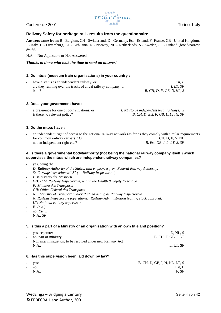#### **Railway Safety for heritage rail - results from the questionnaire**

**Answers came from:** B - Belgium, CH - Switzerland, D - Germany, Est - Estland, F- France, GB - United Kingdom, I - Italy, L - Luxemburg, LT - Lithuania, N - Norway, NL - Netherlands, S - Sweden, SF - Finland (broad/narrow gauge)

N.A. = Not Applicable or Not Answered

#### *Thanks to those who took the time to send an answer!*

#### **1. Do mto:s (museum train organisations) in your country :**

- have a status as an independent railway, or *Est, L*
- are they running over the tracks of a real railway company, or *I, LT, SF*
- 

#### **2. Does your government have :**

- a preference for one of both situations, or *I, NL (to be independent local railways), S*

- is there no relevant policy? *B, CH, D, Est, F, GB, L, LT, N, SF*

- an independent right of access to the national railway network (as far as they comply with similar requirements for common railway carriers)? Or CH, D, F, N, NL
- not an independent right etc.? *B, Est, GB, I, L, LT, S, SF*

**3. Do the mto:s have :**

#### **4. Is there a governmental body/authority (not being the national railway company itself!) which supervises the mto:s which are independent railway companies?**

- yes, being the:
- *D: Railway Authority of the States, with employees from Federal Railway Authority,*
- *S: Järnvägsinspektionen/"J" ( = Railway Inspectorate)*
- *I: Ministerio dei Trasporti*
- *GB: H.M. Railway Inspectorate, within the Health & Safety Executive*
- *F: Ministre des Transports*
- *CH: Office Féderal des Transports*
- *NL: Ministry of Transport and/or Railned acting as Railway Inspectorate*
- *N: Railway Inspectorate (operations); Railway Administration (rolling stock approval)*
- *LT: National railway supervisor*
- *B: (n.a.)*
- no: *Est, L*
- N.A.: *SF*

#### **5. Is this a part of a Ministry or an organisation with an own title and position?**

| D. NL. S            |
|---------------------|
| B, CH, F, GB, I, LT |
|                     |
| L. LT. SF           |
|                     |

#### **6. Has this supervision been laid down by law?**

| $-$ yes:  | B, CH, D, GB, I, N, NL, LT, S |
|-----------|-------------------------------|
| $-$ no:   | Est. L                        |
| $-$ N.A.: | F. SF                         |

### FEDAECARAIL Conference 2001 **Torino, Italy Torino, Italy Torino, Italy Torino, Italy Torino, Italy**

- both? *B, CH, D, F, GB, N, NL, S*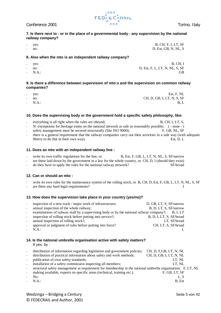

#### **7. Is there next to - or in the place of a governmental body - any supervision by the national railway company?**

| $\overline{\phantom{a}}$ | yes:<br>no:                                             | B, CH, F, I, LT, SF<br>$D,$ Est, GB, N, NL, S |
|--------------------------|---------------------------------------------------------|-----------------------------------------------|
|                          | 8. Also when the mto is an independent railway company? |                                               |
|                          | yes:                                                    | B, CH, I                                      |
|                          | no:                                                     | D, Est, F, L, LT, N, NL, S, SF                |
|                          | N.A.:                                                   | GВ                                            |

#### **9. Is there a difference between supervision of mto:s and the supervision on common railway companies?**

| - yes:    | Est, F, NL                 |
|-----------|----------------------------|
| - no:     | CH, D, GB, I, LT, N, S, SF |
| $-$ N.A.: | B.L                        |

#### **10. Does the supervising body or the government hold a specific safety philosophy, like:**

- everything is all right when the rules are obeyed; B, CH, I, LT, S,
- N: exemptions for heritage trains on the national network as safe as reasonably possible; (-none -)
- safety management must be secured structurally (like ISO 9000); F, GB, NL, SF
- there is a general requirement that the railway companies carry out their activities in a safe way (with adequate liberty to do that in their own way). Est, D, L

#### **11. Does an mto with an independent railway line :**

- write its own traffic regulations for the line, or B, Est, F, GB, L, LT, N, NL, S, SF/narrow
- are these laid down by the government in a law for the whole country, or CH, D, I (should they exist) do they have to apply the rules for the national railway network?
- do they have to apply the rules for the national railway network?

#### **12. Can or should an mto :**

- write its own rules for the maintenance system of the rolling stock, or B, CH, D, Est, F, GB, L, LT, N, NL, S, SF
- are there any hard legal requirements?

#### **13. How does the supervision take place in your country (yes/no)?**

|                             | inspection of a new track / major work of infrastructure;                                         | D, GB, LT, S, SF/narrow  |              |
|-----------------------------|---------------------------------------------------------------------------------------------------|--------------------------|--------------|
| $\sim$                      | annual inspection of the whole railway;                                                           | B, D, LT, S, SF/narrow   |              |
| $\sim$                      | examinations of railway staff by a supervising body or by the national railway company?; B, I, LT |                          |              |
| $\sim$                      | inspection of rolling stock before putting into service?;                                         | B, D, I, LT, S, SF/broad |              |
| $\mathcal{L}_{\mathcal{A}}$ | annual inspection of rolling stock?;                                                              |                          | LT, SF/broad |
|                             | approval or judgment of rules before putting into force?                                          | CH, LT, S, SF/broad      |              |
|                             | NA:                                                                                               |                          |              |

#### **14. Is the national umbrella organisation active with safety matters?**

If yes, by :

| $\sim$                      | distribution of information regarding legislation and government policies;                                  | CH, D, F, GB, LT, N, NL |
|-----------------------------|-------------------------------------------------------------------------------------------------------------|-------------------------|
| $\sim$                      | distribution of practical information about safety and work methods;                                        | CH, D, GB, I, LT, N, NL |
| $\overline{\phantom{a}}$    | publication of own safety standards;                                                                        | LT. NL                  |
| $\sim$                      | installation of a safety commission inspecting all members;                                                 | LT. NL                  |
| $\mathcal{L}_{\mathcal{A}}$ | structural safety management as requirement for membership in the national umbrella organisation; F, LT, NL |                         |
| $\sim$                      | making available, experts on specific areas (technical, training etc.).                                     | F, GB, LT, SF           |
|                             | No:                                                                                                         | L. S                    |
|                             | N.A.:                                                                                                       | B. Est                  |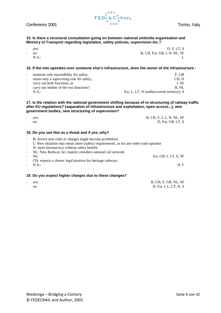

#### **15. Is there a structural consultation going on between national umbrella organisation and Ministry of Transport regarding legislation, safety policies, supervision etc.?**

- 
- 

- yes: D, F, LT, S - no: B, CH, Est, GB, I, N, NL, SF - N.A.: L

#### **16. If the mto operates over someone else's infrastructure, does the owner of the infrastructure :**

| $\sim$ 10 $\pm$ | maintain sole reponsibility for safety,    | F. GB                                     |
|-----------------|--------------------------------------------|-------------------------------------------|
| $\sim 100$      | retain only a supervising role for safety, | CH. D                                     |
| $\sim 10$       | carry out both functions, or               | I. SF                                     |
| $\sim$          | carry out neither of the two functions?    | B. NL                                     |
|                 | $-N.A.:$                                   | Est, L, LT, N (undiscovered territory), S |

#### **17. Is the relation with the national government shifting because of re-structuring of railway traffic after EU regulations? (separation of infrastructure and exploitation, open access...), new government bodies, new structuring of supervision?**

| $-$ yes: | B, CH, F, I, L, N, NL, SF |
|----------|---------------------------|
| $-$ no:  | D, Est, GB, LT, S         |

#### **18. Do you see this as a threat and if yes, why?**

| $\sim$<br>$\sim$                                       | B: Severe new rules or charges might become prohibitive<br>- L: New situation may mean more (safety) requirements, as for any other train operator<br>N: more bureaucracy without safety benefit |                       |
|--------------------------------------------------------|--------------------------------------------------------------------------------------------------------------------------------------------------------------------------------------------------|-----------------------|
|                                                        | - NL: New Railway Act mainly considers national rail network                                                                                                                                     |                       |
|                                                        | $\overline{\text{No}}$ :                                                                                                                                                                         | Est, GB, I, LT, S, SF |
|                                                        | CH: expects a clearer legal position for heritage railways                                                                                                                                       |                       |
|                                                        | $-N.A.$                                                                                                                                                                                          | D, F                  |
| 19. Do you expect higher charges due to these changes? |                                                                                                                                                                                                  |                       |

| $-$ yes: | B, CH, F, GB, NL, SF   |
|----------|------------------------|
| $-$ no:  | D, Est, I, L, LT, N, S |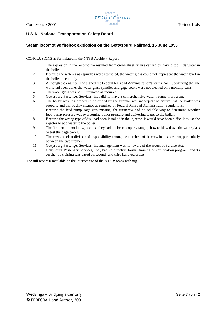

#### **U.S.A. National Transportation Safety Board**

#### **Steam locomotive firebox explosion on the Gettysburg Railroad, 16 June 1995**

CONCLUSIONS as formulated in the NTSB Accident Report

- 1. The explosion in the locomotive resulted from crownsheet failure caused by having too little water in the boiler.
- 2. Because the water-glass spindles were restricted, the water glass could not represent the water level in the boiler accurately.
- 3. Although the engineer had signed the Federal Rallroad Administration's forms No. 1, certifying that the work had been done, the water-glass spindles and gage cocks were not cleaned on a monthly basis.
- 4. The water glass was not illuminated as required.
- 5. Gettysburg Passenger Services, Inc., did not have a comprehensive water treatment program.
- 6. The boiler washing procedure described by the fireman was inadequate to ensure that the boiler was properly and thoroughly cleaned as required by Federal Railroad Administration regulations.
- 7. Because the feed-pump gage was missing, the traincrew had no reliable way to determine whether feed-pump pressure was overcoming boiler pressure and delivering water to the boiler.
- 8. Because the wrong type of disk had been installed in the injector, it would have been difficult to use the injector to add water to the boiler.
- 9. The firemen did not know, because they had not been properly taught, how to blow down the water glass or test the gage cocks.
- 10. There was no clear division of responsibility among the members of the crew in this accident, particularly between the two firemen.
- 11. Gettysburg Passenger Services, Inc.,management was not aware of the Hours of Service Act.
- 12. Gettysburg Passenger Services, Inc., had no effective formal training or certification program, and its on-the-job training was based on second- and third hand expertise.

The full report is available on the internet site of the NTSB: www.ntsb.org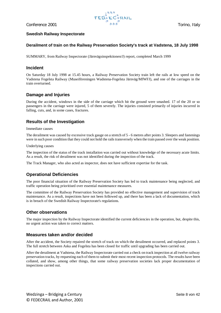

#### **Swedish Railway Inspectorate**

#### **Derailment of train on the Railway Preservation Society's track at Vadstena, 18 July 1998**

SUMMARY, from Railway Inspectorate (Järnvägsinspektionen/J) report, completed March 1999

#### **Incident**

On Saturday 18 July 1998 at 15.45 hours, a Railway Preservation Society train left the rails at low speed on the Vadstena Fogelsta Railway (Museiföreningen Wadstena-Fogelsta Järnväg/MfWFJ), and one of the carriages in the train overturned.

#### **Damage and Injuries**

During the accident, windows in the side of the carriage which hit the ground were smashed. 17 of the 20 or so passengers in the carriage were injured, 5 of them severely. The injuries consisted primarily of injuries incurred in falling, cuts, and, in some cases, fractures.

#### **Results of the Investigation**

Immediate causes

The derailment was caused by excessive track gauge on a stretch of 5 - 6 metres after points 3. Sleepers and fastenings were in such poor condition that they could not hold the rails transversely when the train passed over the weak position.

Underlying causes

The inspection of the status of the track installation was carried out without knowledge of the necessary acute limits. As a result, the risk of derailment was not identified during the inspection of the track.

The Track Manager, who also acted as inspector, does not have sufficient expertise for the task.

#### **Operational Deficiencies**

The poor financial situation of the Railway Preservation Society has led to track maintenance being neglected, and traffic operation being prioritised over essential maintenance measures.

The committee of the Railway Preservation Society has provided no effective management and supervision of track maintenance. As a result, inspections have not been followed up, and there has been a lack of documentation, which is in breach of the Swedish Railway Inspectorate's regulations.

#### **Other observations**

The major inspection by the Railway Inspectorate identified the current deficiencies in the operation, but, despite this, no urgent action was taken to correct matters.

#### **Measures taken and/or decided**

After the accident, the Society repaired the stretch of track on which the derailment occurred, and replaced points 3. The full stretch between Aska and Fogelsta has been closed for traffic until upgrading has been carried out.

After the derailment at Vadstena, the Railway Inspectorate carried out a check on track inspection at all twelve railway preservation tracks, by requesting each of them to submit their most recent inspection protocols. The results have been collated, and show, among other things, that some railway preservation societies lack proper documentation of inspections carried out.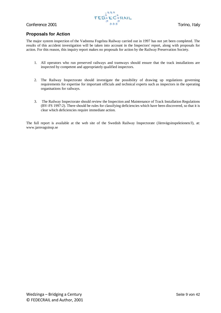

#### **Proposals for Action**

The major system inspection of the Vadstena Fogelsta Railway carried out in 1997 has not yet been completed. The results of this accident investigation will be taken into account in the Inspectors' report, along with proposals for action. For this reason, this inquiry report makes no proposals for action by the Railway Preservation Society.

- 1. All operators who run preserved railways and tramways should ensure that the track installations are inspected by competent and appropriately qualified inspectors.
- 2. The Railway Inspectorate should investigate the possibility of drawing up regulations governing requirements for expertise for important officials and technical experts such as inspectors in the operating organisations for railways.
- 3. The Railway Inspectorate should review the Inspection and Maintenance of Track Installation Regulations (BV-FS 1997:2). There should be rules for classifying deficiencies which have been discovered, so that it is clear which deficiencies require immediate action.

The full report is available at the web site of the Swedish Railway Inspectorate (Järnvägsinspektionen/J), at: www.jarnvagsinsp.se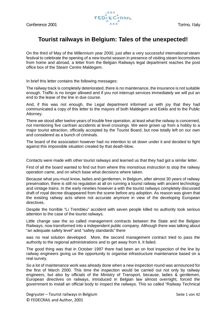

### <span id="page-13-0"></span>**Tourist railways in Belgium: Tales of the unexpected!**

On the third of May of the Millennium year 2000, just after a very successful international steam festival to celebrate the opening of a new tourist season in presence of visiting steam locomotives from home and abroad, a letter from the Belgian Railways legal department reaches the post office box of the Steam Centre Maldegem.

In brief this letter contains the following messages:

The railway track is completely deteriorated, there is no maintenance, the insurance is not suitable enough. Traffic is no longer allowed and if you not interrupt services immediately we will put an end to the lease of the line in due course.

And, if this was not enough, the Legal department informed us with joy that they had communicated a copy of this letter to the mayors of both Maldegem and Eeklo and to the Public Attorney.

There we stood after twelve years of trouble free operation, at least what the railway is concerned, not mentioning five car/train accidents at level crossings. We were grown up from a hobby to a major tourist attraction, officially accepted by the Tourist Board, but now totally left on our own and considered as a bunch of criminals.

The board of the association however had no intention to sit down under it and decided to fight against this impossible situation created by that death-blow.

Contacts were made with other tourist railways and learned us that they had got a similar letter.

First of all the board wanted to find out from where this monstrous instruction to stop the railway operation came, and on which base what decisions where taken.

Because what you must know, ladies and gentlemen, in Belgium, after almost 30 years of railway preservation, there is still no regulation at all on running a tourist railway with ancient technology and vintage trains. In the early nineties however a with the tourist railways completely discussed draft of royal decree disappeared from the scene before any adoption. As reason was given that the existing railway acts where not accurate anymore in view of the developing European directives.

Despite the horrible "Li Trembleu" accident with seven people killed no authority took serious attention to the case of the tourist railways.

Little change saw the so called management contracts between the State and the Belgian Railways, now transformed into a independent public company. Although there was talking about "an adequate safety level" and "safety standards" there

was no real solution developed. More, the second management contract tried to pass the authority to the regional administrations and to get away from it. It failed.

The good thing was that in October 1997 there had been an on foot inspection of the line by railway engineers giving us the opportunity to organise infrastructure maintenance based on a real survey.

So a lot of maintenance work was already done when a new inspection round was announced for the first of March 2000. This time the inspection would be carried out not only by railway engineers, but also by officials of the Ministry of Transport, because, ladies & gentlemen, European directives on railways, introduced in Belgian law almost overnight, forced the government to install an official body to inspect the railways. This so called "Railway Technical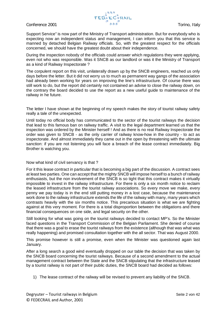

Support Service" is now part of the Ministry of Transport administration. But for everybody who is expecting now an independent status and management, I can inform you that this service is manned by detached Belgian Railway officials. So, with the greatest respect for the officials concerned, we should have the greatest doubt about their independence.

During the inspection nobody of the officials could answer which regulations they were applying, even not who was responsible. Was it SNCB as our landlord or was it the Ministry of Transport as a kind of Railway Inspectorate ?

The corpulent report on this visit, unilaterally drawn up by the SNCB engineers, reached us only days before the letter. But it did not worry us to much as permanent way gangs of the association had already been working for years on improving the line's infrastructure. Of course there was still work to do, but the report did certainly not contained an advise to close the railway down, on the contrary the board decided to use the report as a new useful guide to maintenance of the railway in he future.

The letter I have shown at the beginning of my speech makes the story of tourist railway safety really a tale of the unexpected.

Until today no official body has communicated to the sector of the tourist railways the decision that lead to this famous ban on railway traffic. A visit to the legal department learned us that the inspection was ordered by the Minister herself ! And as there is no real Railway Inspectorate the order was given to SNCB - as the only carrier of railway know-how in the country - to act as inspectorate. And almost immediately they came out in the open by threatening with the ultimate sanction: if you are not listening you will face a breach of the lease contract immediately. Big Brother is watching you.

Now what kind of civil servancy is that ?

For it this lease contract in particular that is becoming a big part of the discussion. A contract sees at least two parties. One can accept that the mighty SNCB will impose herself to a bunch of railway enthusiasts, but the non involvement of the SNCB is so tight that this contract makes it virtually impossible to invest in the railway infrastructure. For there is only a six month notice to reclaim the leased infrastructure from the tourist railway associations. So every move we make, every penny we pay today is in the end still putting money in a lost case, because the maintenance work done to the railway infrastructure extends the life of the railway with many, many years which contrasts heavily with the six months notice. This precarious situation is what we are fighting against at this very moment. For there is a total disproportion between the obligations and there financial consequences on one side, and legal security on the other.

Still looking for what was going on the tourist railways decided to contact MP's. So the Minister faced questions in the Transport Commission of the Belgian Parliament. She denied of course that there was a goal to erase the tourist railways from the existence (although that was what was really happening) and promised consultation together with the all sector. That was August 2000.

This promise however is still a promise, even when the Minister was questioned again last January.

After a long search a good wind eventually dropped on our table the decision that was taken by the SNCB board concerning the tourist railways. Because of a second amendment to the actual management contract between the State and the SNCB stipulating that the infrastructure leased by a tourist railway is not part of their public duties, the SNCB board had decided as follows:

1) The lease contract of the railway will be revised to prevent any liability of the SNCB.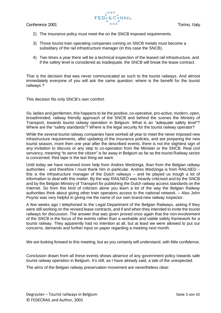

- 2) The insurance policy must meet the on the SNCB imposed requirements.
- 3) Those tourist train operating companies coming on SNCB metals must become a subsidiary of the rail infrastructure manager (in this case the SNCB).
- 4) Two times a year there will be a technical inspection of the leased rail infrastructure, and if the safety level is considered as inadequate, the SNCB will break the lease contract.

That is the decision that was never communicated as such to the tourist railways. And almost immediately everyone of you will ask the same question: where is the benefit for the tourist railways ?

This decision fits only SNCB's own comfort.

So, ladies and gentlemen, this happens to be the positive, co-operative, pro-active, modern, open, broadminded, railway friendly approach of the SNCB and behind the scenes the Ministry of Transport, towards tourist railway operation in Belgium. What is an "adequate safety level"? Where are the "safety standards"? Where is the legal security for the tourist railway operator?

While the several tourist railway companies have worked all year to meet the never imposed new infrastructure requirements, after updating of the insurance policies, and are preparing the new tourist season, more then one year after the described events, there is not the slightest sign of any invitation to discuss or any step to co-operation from the Minister or the SNCB. Real civil servancy, meaning "to serve the citizen" is far away in Belgium as far as the tourist Railway sector is concerned. Red tape is the last thing we want.

Until today we have received more help from Andres Wedzinga, than from the Belgian railway authorities - and therefore I must thank him in particular. Andres Wedzinga is from RAILNED – this is the infrastructure manager of the Dutch railways – and he played us trough a lot of information to deal with this matter. By the way RAILNED was heavily criticised and by the SNCB and by the Belgian Ministry of Transport for publishing the Dutch railway access standards on the Internet. So from this kind of criticism alone you learn a lot of the way the Belgian Railway authorities think about giving other train operators access to the national network. – Also John Poyntz was very helpful in giving me the name of our own brand-new railway inspector.

A few weeks ago I telephoned to the Legal Department of the Belgian Railways, asking if they were still working on the revised lease contracts, and if and when they intended to invite the tourist railways for discussion. The answer that was given proved once again that the non-involvement of the SNCB is the focus of the events rather than a workable and viable safety framework for a tourist railway. They apparently had no intention at all, but at least we were allowed to put our concerns, demands and further input on paper regarding a meeting next month.

We are looking forward to this meeting, but as you certainly will understand, with little confidence.

Conclusion drawn from all these events shows absence of any government policy towards safe tourist railway operation in Belgium. It's still, as I have already said, a tale of the unexpected.

The aims of the Belgian railway preservation movement are nevertheless clear: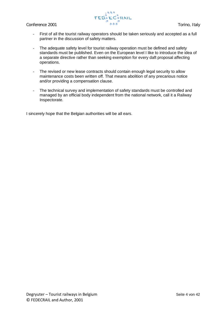

- First of all the tourist railway operators should be taken seriously and accepted as a full partner in the discussion of safety matters.
- The adequate safety level for tourist railway operation must be defined and safety standards must be published. Even on the European level I like to introduce the idea of a separate directive rather than seeking exemption for every daft proposal affecting operations.
- The revised or new lease contracts should contain enough legal security to allow maintenance costs been written off. That means abolition of any precarious notice and/or providing a compensation clause.
- The technical survey and implementation of safety standards must be controlled and managed by an official body independent from the national network, call it a Railway Inspectorate.

I sincerely hope that the Belgian authorities will be all ears.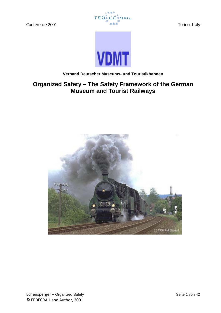



#### **Verband Deutscher Museums- und Touristikbahnen**

### <span id="page-17-0"></span>**Organized Safety – The Safety Framework of the German Museum and Tourist Railways**

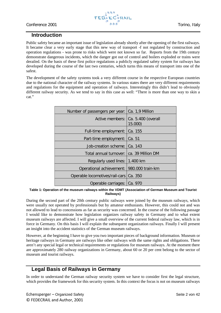

#### **Introduction**

Public safety became an important issue of legislation already shortly after the opening of the first railways. It became clear a very early stage that this new way of transport -f not regulated by construction and operation regulations - was prone to risks which were not known so far. Reports from the 19th century demonstrate dangerous incidents, which the danger got out of control and boilers exploded or trains were derailed. On the basis of these first police regulations a publicly regulated safety system for railways has developed during the course of the last two centuries, which turns this means of transport into one of the safest.

The development of the safety systems took a very different course in the respective European countries due to the national character of the railway systems. In various states there are very different requirements and regulations for the equipment and operation of railways. Interestingly this didn't lead to obviously different railway security. As we tend to say in this case as well: "There is more than one way to skin a cat."

| Number of passengers per year:   Ca. 1,9 Million |                                                 |
|--------------------------------------------------|-------------------------------------------------|
|                                                  | Active members:   Ca. 5.400 (overall<br>15.000) |
| Full-time employment:   Ca. 155                  |                                                 |
| Part-time employment:   Ca. 51                   |                                                 |
| Job-creation scheme: Ca. 143                     |                                                 |
| Total annual turnover:   ca. 39 Million DM       |                                                 |
| Regularly used lines:   1.400 km                 |                                                 |
| Operational achievement:   980.000 train-km      |                                                 |
| Operable locomotives/rail-cars   Ca. 350         |                                                 |
| Operable carriages:   Ca. 970                    |                                                 |

#### **Table 1: Operation of the museum railways within the VDMT (Association of German Museum and Tourist Railways)**

During the second part of the 20th century public railways were joined by the museum railways, which were usually not operated by professionals but by amateur enthusiasts. However, this could not and was not allowed to lead to concessions as far as security was concerned. In the course of the following passage I would like to demonstrate how legislation organizes railway safety in Germany and to what extent museum railways are affected. I will give a small overview of the current federal railway law, which is in force in Germany. On this basis I will explain the subsequent organization railways. Finally I will present an insight into the accident statistics of the German museum railways.

However, at the beginning I have to give you two important pieces of background information. Museum or heritage railways in Germany are railways like other railways with the same rights and obligations. There aren't any special legal or technical requirements or regulations for museum railways. At the moment there are approximately 280 railway organizations in Germany, about 60 or 20 per cent belong to the sector of museum and tourist railways.

### **Legal Basis of Railways in Germany**

In order to understand the German railway security system we have to consider first the legal structure, which provides the framework for this security system. In this context the focus is not on museum railways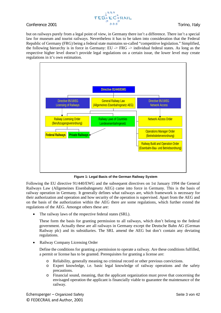

but on railways purely from a legal point of view, in Germany there isn't a difference. There isn't a special law for museum and tourist railways. Nevertheless it has to be taken into consideration that the Federal Republic of Germany (FRG) being a federal state maintains so-called "competitive legislation." Simplified, the following hierarchy is in force in Germany: EU -> FRG -> individual federal states. As long as the respective higher level doesn't provide legal regulations on a certain issue, the lower level may create regulations in it's own estimation.



**Figure 1: Legal Basis of the German Railway System**

Following the EU directive 91/440/EWG and the subsequent directives on 1st January 1994 the General Railways Law (Allgemeines Eisenbahngesetz AEG) came into force in Germany. This is the basis of railway operation in Germany. It generally defines what railways are, which framework is necessary for their authorization and operation and how security of the operation is supervised. Apart from the AEG and on the basis of the authorization within the AEG there are some regulations, which further extend the regulations of the AEG. Amongst others these are:

The railway laws of the respective federal states (SRL).

These form the basis for granting permission to all railways, which don't belong to the federal government. Actually these are all railways in Germany except the Deutsche Bahn AG (German Railway plc) and its subsidiaries. The SRL amend the AEG but don't contain any deviating regulations.

Railway Company Licensing Order

Define the conditions for granting a permission to operate a railway. Are these conditions fulfilled, a permit or license has to be granted. Prerequisites for granting a license are:

- o Reliability, generally meaning no criminal record or other previous convictions.
- Expert knowledge, i.e. basic legal knowledge of railway operations and the safety precautions.
- o Financial sound, meaning, that the applicant organization must prove that concerning the envisaged operation the applicant is financially viable to guarantee the maintenance of the railway.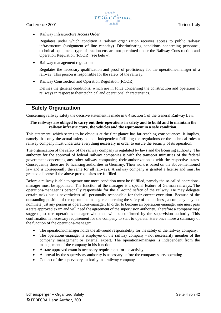

• Railway Infrastructure Access Order

Regulates under which condition a railway organization receives access to public railway infrastructure (assignment of line capacity). Discriminating conditions concerning personnel, technical equipment, type of traction etc. are not permitted under the Railway Construction and Operation Regulation (RCOR) (see below).

• Railway management regulation

Regulates the necessary qualification and proof of proficiency for the operations-manager of a railway. This person is responsible for the safety of the railway.

• Railway Construction and Operation Regulation (RCOR)

Defines the general conditions, which are in force concerning the construction and operation of railways in respect to their technical and operational characteristics.

### **Safety Organization**

Concerning railway safety the decisive statement is made in § 4 section 1 of the General Railway Law:

#### **The railways are obliged to carry out their operations in safety and to build and to maintain the railway infrastructure, the vehicles and the equipment in a safe condition.**

This statement, which seems to be obvious at the first glance has far-reaching consequences. It implies, namely that only the actual safety counts. Independent fulfilling the regulations or the technical rules a railway company must undertake everything necessary in order to ensure the security of its operation.

The organization of the safety of the railway company is regulated by laws and the licensing authority. The authority for the approval of federal railway companies is with the transport ministries of the federal government concerning any other railway companies; their authorization is with the respective states. Consequently there are 16 licensing authorities in Germany. Their work is based on the above-mentioned law and is consequently the same for all railways. A railway company is granted a license and must be granted a license if the above prerequisites are fulfilled.

Before a railway is able to operate one more condition must be fulfilled, namely the so-called operationsmanager must be appointed. The function of the manager is a special feature of German railways. The operations-manager is personally responsible for the all-round safety of the railway. He may delegate certain tasks but is nevertheless still personally responsible for their correct execution. Because of the outstanding position of the operations-manager concerning the safety of the business, a company may not nominate just any person as operations-manager. In order to become an operations-manager one must pass a state approved exam and will need the agreement of the supervision authority. Therefore a company may suggest just one operations-manager who then will be confirmed by the supervision authority. This confirmation is necessary requirement for the company to start to operate. Here once more a summary of the function of the operations-manager:

- The operations-manager holds the all-round responsibility for the safety of the railway company.
- The operations-manager is employee of the railway company not necessarily member of the company management or external expert. The operations-manager is independent from the management of the company in his function.
- A state approved exam is necessary requirement for the activity.
- Approval by the supervisory authority is necessary before the company starts operating.
- Contact of the supervisory authority in a railway company.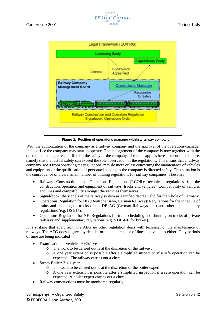



**Figure 2: Position of operations-manager within a railway company** 

With the authorization of the company as a railway company and the approval of the operations-manager in his office the company may start to operate. The management of the company is now together with the operations-manager responsible for the safety of the company. The same applies here as mentioned before, namely that the factual safety can exceed the sole observation of the regulations. This means that a railway company, apart from observing the regulations, may do more or less concerning the maintenance of vehicles and equipment or the qualification of personnel as long as the company is directed safely. This situation is the consequence of a very small number of binding regulations for railway companies. These are:

- Railway Construction and Operation Regulation (RCOR): technical regulations for the construction, operation and equipment of railways (tracks and vehicles). Compatibility of vehicles and lines and compatibility amongst the vehicles themselves.
- Signal-book: the signals of the railway system as a unified decree valid for the whole of Germany.
- Operations Regulation for DB (Deutsche Bahn, German Railway): Regulations for the schedule of trains and shunting on tracks of the DB AG (German Railways plc.) and other supplementary regulations (e.g. DS 915).
- Operations Regulation for NE: Regulations for train scheduling and shunting on tracks of private railways and supplementary regulations (e.g. VDB-NE for brakes).

It is striking that apart from the AEG no other regulation deals with technical or the maintenance of railways. The AEG doesn't give any details for the maintenance of lines and vehicles either. Only periods of time are being indicated

- Examination of vehicles: 6+2x1 year
	- o The work to be carried out is at the discretion of the railway.
	- o A one year extension is possible after a simplified inspection if a safe operation can be expected. The railway carries out a check.
- Steam Boiler:  $3 + 1$  year
	- o The work to be carried out is at the discretion of the boiler expert.
	- o A one year extension is possible after a simplified inspection if a safe operation can be expected. A boiler expert carries out a check.
- Railway constructions must be monitored regularly.

Echensperger – Organized Safety Seite 5 von 42 © FEDECRAIL and Author, 2001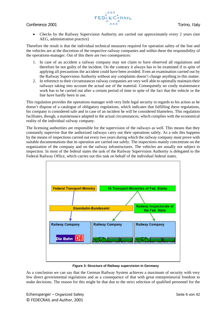

• Checks by the Railway Supervision Authority are carried out approximately every 2 years (not AEG, administration practice)

Therefore the result is that the individual technical measures required for operation safety of the line and the vehicles are at the discretion of the respective railway companies and within these the responsibility of the operations-manager. Out of this there are two consequences:

- 1. In case of an accident a railway company may not claim to have observed all regulations and therefore be not guilty of the incident. On the contrary it always has to be examined if in spite of applying all precautions the accident could have been avoided. Even an examination carried out by the Railway Supervision Authority without any complaints doesn't change anything in this matter.
- 2. In reference to their circumstances railway companies are very well able to optimally maintain their railways taking into account the actual use of the material. Consequently no costly maintenance work has to be carried out after a certain period of time in spite of the fact that the vehicle or the line have hardly been in use.

This regulation provides the operations manager with very little legal security in regards to his action as he doesn't dispose of a catalogue of obligatory regulations, which indicates that fulfilling these regulations, his company is considered safe and in case of an incident he will be considered blameless. This regulation facilitates, though, a maintenance adapted to the actual circumstances, which complies with the economical reality of the individual railway company.

The licensing authorities are responsible for the supervision of the railways as well. This means that they constantly supervise that the authorized railways carry out their operations safely. As a rule this happens by the means of inspections carried out every two years during which the railway company must prove with suitable documentations that its operation are carried out safely. The inspections mainly concentrate on the organization of the company and on the railway infrastructures. The vehicles are usually not subject to inspection. In most of the federal states the task of the Railway Supervision Authority is delegated to the Federal Railway Office, which carries out this task on behalf of the individual federal states.



**Figure 3: Structure of Railway supervision in Germany**

As a conclusion we can say that the German Railway System achieves a maximum of security with very few direct governmental regulations and as a consequence of that with great entrepreneurial freedom to make decisions. The reason for this might be that due to the strict selection of qualified personnel for the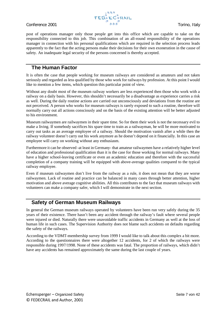

post of operations manager only those people get into this office which are capable to take on the responsibility connected to this job. This combination of an all-round responsibility of the operations manager in connection with his personal qualifications which are required in the selection process leads apparently to the fact that the acting persons make their decisions for their own exoneration in the cause of safety. An inadequate legal security of the persons concerned is thereby accepted.

#### **The Human Factor**

It is often the case that people working for museum railways are considered as amateurs and not taken seriously and regarded as less qualified by those who work for railways by profession. At this point I would like to mention a few items, which question this particular point of view.

Without any doubt most of the museum railway workers are less experienced then those who work with a railway on a daily basis. However, this shouldn't necessarily be a disadvantage as experience carries a risk as well. During the daily routine actions are carried out unconsciously and deviations from the routine are not perceived. A person who works for museum railways is rarely exposed to such a routine, therefore will normally carry out all actions consciously and on the basis of the existing attention will be better adjusted to his environment.

Museum railwaymen are railwaymen in their spare time. So for them their work is not the necessary evil to make a living. If somebody sacrifices his spare time to train as a railwayman, he will be more motivated to carry out tasks as an average employee of a railway. Should the motivation vanish after a while then the railway volunteer doesn't carry out his work anymore as he doesn't depend on it financially. In this case an employee will carry on working without any enthusiasm.

Furthermore it can be observed -at least in Germany- that amateur railwaymen have a relatively higher level of education and professional qualification than it is the case for those working for normal railways. Many have a higher school-leaving certificate or even an academic education and therefore with the successful completion of a company training will be equipped with above-average qualities compared to the typical railway employee.

Even if museum railwaymen don't live from the railway as a rule, it does not mean that they are worse railwaymen. Lack of routine and practice can be balanced in many cases through better attention, higher motivation and above average cognitive abilities. All this contributes to the fact that museum railways with volunteers can make a company safer, which I will demonstrate in the next section.

### **Safety of German Museum Railways**

In general the German museum railways operated by volunteers have been run very safely during the 35 years of their existence. There hasn't been any accident through the railway's fault where several people were injured or died. Naturally there were unavoidable traffic accidents in Germany as well at the loss of human life in such cases. The Supervision Authority does not blame such accidents on defaults regarding the safety of the railways.

According to the VDMT-membership survey from 1999 I would like to talk about this complex a bit more. According to the questionnaires there were altogether 12 accidents, for 2 of which the railways were responsible during 1997/1998. None of these accidents was fatal. The proportion of railways, which didn't have any accidents has remained approximately the same during the last couple of years.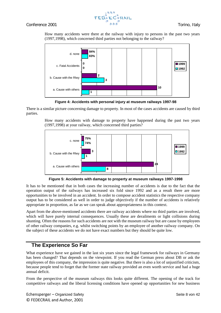

How many accidents were there at the railway with injury to persons in the past two years (1997,1998), which concerned third parties not belonging to the railway?



**Figure 4: Accidents with personal injury at museum railways 1997-98**

There is a similar picture concerning damage to property. In most of the cases accidents are caused by third parties.

> How many accidents with damage to property have happened during the past two years (1997,1998) at your railway, which concerned third parties?



**Figure 5: Accidents with damage to property at museum railways 1997-1998**

It has to be mentioned that in both cases the increasing number of accidents is due to the fact that the operation output of the railways has increased six fold since 1992 and as a result there are more opportunities to be involved in an accident. In order to compose accident statistics the respective company output has to be considered as well in order to judge objectively if the number of accidents is relatively appropriate in proportion, as far as we can speak about appropriateness in this context.

Apart from the above-mentioned accidents there are railway accidents where no third parties are involved, which will have purely internal consequences. Usually these are derailments or light collisions during shunting. Often the reasons for such accidents are not with the museum railway but are cause by employees of other railway companies, e.g. whilst switching points by an employee of another railway company. On the subject of these accidents we do not have exact numbers but they should be quite low.

### **The Experience So Far**

What experience have we gained in the last six years since the legal framework for railways in Germany has been changed? That depends on the viewpoint. If you read the German press about DB or ask the employees of this company, the impression is quite negative. But there is also a lot of unjustified criticism, because people tend to forget that the former state railway provided an even worth service and had a huge annual deficit.

From the perspective of the museum railways this looks quite different. The opening of the track for competitive railways and the liberal licensing conditions have opened up opportunities for new business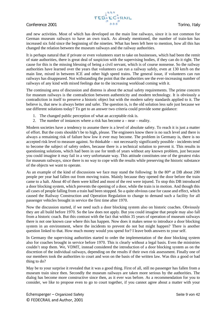



and new activities. Most of which has developed on the main line railways, since it is not common for German museum railways to have an own track. As already mentioned, the number of train-km has increased six fold since the beginning of the nineties. What has been left here to mention, how all this has changed the relation between the museum railways and the railway authorities.

It is perhaps natural that if private or even volunteers start to take on businesses, which had been the remit of state authorities, there is great deal of suspicion with the supervising bodies, if they can do it right. The cause for this is the missing blessing of being a civil servant, which is of course nonsense. So the railway authorities have learned over the years that volunteers can run a railway safely, even at 130 km/h on the main line, mixed in between ICE and other high speed trains. The general issue, if volunteers can run railways has disappeared. Not withstanding the point that the authorities see the ever-increasing number of railways of any kind with mixed feelings due to the increasing workload coming with it.

The continuing area of discussion and distress is about the actual safety requirements. The prime concern for museum railways is the contradiction between authenticity and modern technology. It is obviously a contradiction in itself to preserve a historic object but with the modern safety standards applied to it. The believe is, that new is always better and safer. The question is, is the old solution less safe just because we use different solutions today? To get to an answer two criteria could provide some guidance:

- 1. The changed public perception of what an acceptable risk is.
- 2. The number of instances where a risk has become a near reality.

Modern societies have a tendency to assume there is a level of absolute safety. To reach it is just a matter of effort. But the costs shouldn't be to high, please. The engineers know there is no such level and there is always a remaining risk of failure how low it ever may become. The problem in Germany is, there is no accepted risk level to measure against. So thinkable – not necessarily significantly possible - incidents tend to become the subject of safety orders, because there is a technical solution to prevent it. This results in questioning solutions, which had been in use for tenth of years without any known problem, just because you could imagine it may fail in a very unfortunate way. This attitude constitutes one of the greatest risks for museum railways, since there is no way to cope with the results while preserving the historic substance of the objects we want to operate.

As an example of the kind of discussions we face may stand the following: In the  $80<sup>th</sup>$  at DB about 200 people per year had fallen out from moving trains. Mainly because they opened the door before the train came to a halt. About 40 of them were killed and most of the rest were injured. To stop this DB introduced a door blocking system, which prevents the opening of a door, while the train is in motion. And though this all cases of people falling from a train had been stopped. So a quite obvious case for cause and effect, which caused the Railway Construction and Operation Regulation to change to demand such a facility for all passenger vehicles brought in service the first time after 1970.

Now the discussion started, if we need such a door blocking system also on historic coaches. Obviously they are all build before 1970. So the law does not apply. But you could imagine that people may also fall from a historic coach. But this contrast with the fact that within 35 years of operation of museum railways there is not one known case where this has happen. Now does it makes sense to introduce a door blocking system in an environment, where the incidents to prevent do not but might happen? There is another question linked to that. How much money would you spend for? I leave both answers to your self.

In Germany the supervising authorities started to order the implementation of the door blocking system also for coaches brought in service before 1970. This is clearly without a legal basis. Even the ministries couldn't stop them. We, VDMT, instead considered the introduction of a door blocking system as on the discretion of the individual railways, depending on the results if their own risk assessment. Finally one of our members took the authorities to court and won on the basis of the written law. Was this a good or bad thing to do?

May be to your surprise it revealed that it was a good thing. First of all, still no passenger has fallen from a museum train since then. Secondly the museum railways are taken more serious by the authorities. The dialog has become more constructive since then, as it ever was before. As a recommendation for you to consider, we like to propose even to go to court together, if you cannot agree about a matter with your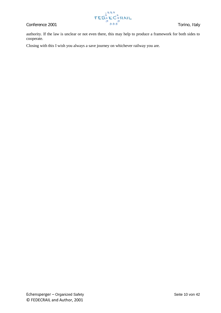

authority. If the law is unclear or not even there, this may help to produce a framework for both sides to cooperate.

Closing with this I wish you always a save journey on whichever railway you are.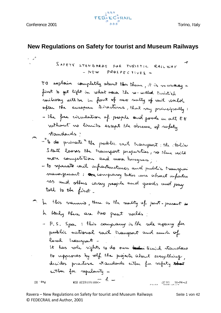- 4



冲

### <span id="page-27-0"></span>**New Regulations on Safety for tourist and Museum Railways**

SAFETY STANDARDS FOR TURISTIC RAILWAY - NEW PROSPECTIVES -

TO explain completly about this theme, it is necessary a first to get light in what also the so-welled turistich racilescay will be in front of new reality of rail world after the european Birectives, that say principally: - the face circulation of people and goods in all EE vathout no limits except the absence of safety standards;

- to de princete "the public rail trousport: the tolds State looses the transport properties, so there will more competition and more husymes;
	- to reparate rail infractures and public transport management: an company takes are about infaction res and others carry people and goods and pay toll to the first.
- The this securito, there is the vestty of part-present so In Harly there are tres great voilds

- F.S. Spa. : this company is the sole agency for public national rail transport and much of Rosal trausport -It for when rights to do own the tenich standars to upproves by relf the projects about everything, decides practive standards either for safety that enther for repulsaty - $\rightarrow$   $\rightarrow$   $\rightarrow$   $\rightarrow$   $\rightarrow$  $\frac{15.51}{1002}$   $\frac{11.791 - 62}{1002}$ 

Pag. 03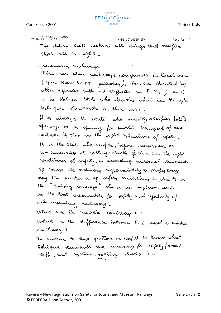

 $\frac{37}{27}$   $\frac{77}{29}$   $\frac{27}{27}$   $\frac{10}{27}$   $\frac{25}{27}$   $\frac{10}{27}$   $\frac{25}{27}$ Pag. 12: ~>00116706239 ECM The stalism Starte looks at all things and verifies that all is right. - secondary railways. There are other railways companies, in local area ( you know SATTI pertenday), that are directed by atter agencies with no rayments in F.S., ; and it is thatian State who decides what are the uph technique standards in this case. It is always the state who directly verifies before spaning or re-opening for public brangest of one rantway if there are the right wination of soprty. It is the state who verifies, before imminion or re - imminion of welling stacks of there are the night canditions of soferty, in according national standards Of course the ordinary responsibility to verify every day the existance of safety canditions is due to a the "training momage", who is an aupturer and is the first responsabile for sufety and regularity of each scandary authority. What are the truintie railway? What is the difference hetween F.S. and a turistic railway ? To answer to these questions is usefull to know what tedrique standards are necessary for safety (about waft, rail systems, ralling stacks ) -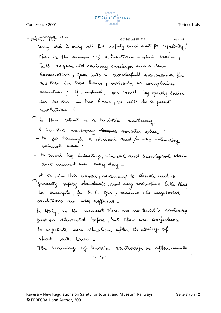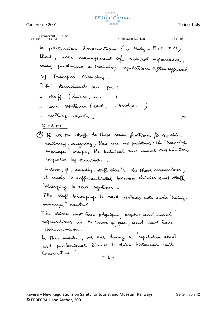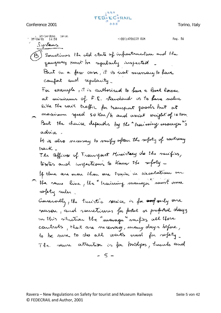

 $\begin{array}{cccc} & \frac{3}{2} & 2773472661 & 18836 \\ \textcolor{red}{\ddots} & 2976441 & 14458 \end{array}$ Pag. 96 ~>00\$16706239 ECM Syrtems (B) Sometimes the old state of infuncture and the gangway nunt too regularly inspected But in a few case, it is not necessary to have comfort and repularity. For example, it is authorized to have a level lower. at minimum of F.S. standard or to have nature like the rack traffic for transport goods but at maximum speed so the /h and axial veriflet of 16 tons But the charica defends by the " Eval ming manyer"'s adria . It is also necessary to wanty after the rafaty of varking track \_ The Offices of Transport Ministery do the verifies, textes and inspections to know the referty -If there are more than one train in circulation on The same line, the "training manager" survit wome sofety rules. Canecally, the trubition service is for any one reason, and rametimes for fertal or preferrel days in this situation the "manager" menifies all there controls, that are necessary, many days before, to be nure to do all works meal for refety. The serve attention is for bridges, turneds and  $-5-$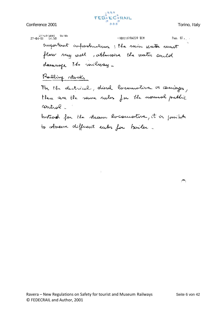

 $\frac{27.4247.2261}{27 - 04 - 01} = \frac{16.65}{14.53}$  $-$ >00115706239 ECH Pag. 07.  $\ldots$ important infrastructures; the rain water unust flow very mel , attenaine the water could damnage the racilway\_ Rolling stocks For the electrical, diesel locamative or countryes, there are the same rules for the normal public control hostcool for the steam locomotive, it is family to observe different unles for bounder.

بصر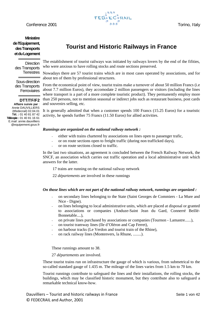

#### **Ministère de l'Equipement, des Transports et du Logement**

**Direction** des Transports **Terrestres** 

Sous-direction des Transports

**DTT/TF/F2 Affaire suivie par** : Annie DAUVILLIERS (ttfedecrail) 02.04.01 **Tél. :** 01 40 81 87 42 **Télécopie :** 01 40 81 16 61 E.mail :annie.dauvilliers @equipement.gouv.fr

### **Tourist and Historic Railways in France**

<span id="page-33-0"></span>The establishment of tourist railways was initiated by railways lovers by the end of the fifities, who were anxious to have rolling stocks and route sections preserved.

Nowadays there are 57 tourist trains which are in most cases operated by associations, and for about ten of them by professional structures.

From the economical point of view, tourist trains make a turnover of about 50 million Francs (i.e Ferroviaires about 7.7 million Euros), they accomodate 2 million passengers or visitors (including the lines where transport is a part of a more complete touristic product). They permanently employ more than 250 persons, not to mention seasonal or indirect jobs such as restaurant business, post cards and souvenirs selling, etc.

> It is generally admitted that when a customer spends 100 Francs (15.25 Euros) for a touristic activity, he spends further 75 Francs (11.50 Euros) for allied activities.

#### *Runnings are organized on the national railway network :*

- either with trains chartered by associations on lines open to passenger trafic,
- or on route sections open to freight traffic (during non trafficked days),
- or on route sections closed to traffic.

In the last two situations, an agreement is concluded between the French Railway Network, the SNCF, an association which carries out traffic operation and a local administrative unit which answers for the latter.

17 trains are running on the national railway network

22 *départements* are involved in these runnings

#### *On those lines which are not part of the national railway network, runnings are organized :*

- on secondary lines belonging to the State (Saint Georges de Commiers La Mure and Nice - Digne).
- on lines belonging to local administrative units, which are placed at disposal or granted to associations or companies (Anduze-Saint Jean du Gard, Connerré Beillé-Bonnetable....),
- on private lines purchased by associations or companies (Tournon Lamastre......),
- on tourist tramway lines (Ile d'Oléron and Cap Ferret),
- on harbour tracks (Le Verdon and tourist train of the Rhine),
- on rack railway lines (Montenvers, la Rhune, ........).

These runnings amount to 38.

27 *départements* are involved.

These tourist trains run on infrastructure the gauge of which is various, from submetrical to the so-called standard gauge of 1.435 m. The mileage of the lines varies from 1.5 km to 70 km.

Tourist runnings contribute to safeguard the lines and their installations, the rolling stocks, the buildings, which may be classified historic monument, but they contribute also to safeguard a remarkable technical know-how.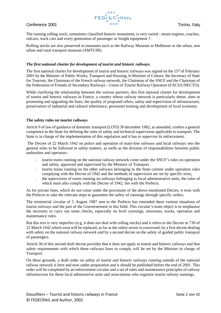

The running rolling stock, sometimes classified historic monument, is very varied : steam engines, coaches, railcars, track cars and every generation of passenger or freight equipment ?.

Rolling stocks are also preserved in museums such as the Railway Museum at Mulhouse or the urban, non urban and rural transport museum (AMTUIR).

#### *The first national charter for development of tourist and historic railways.*

The first national charter for development of tourist and historic railways was signed on the  $15<sup>th</sup>$  of February 2001 by the Minister of Public Works, Transport and Housing, le Minister of Culture, the Secretary of State for Tourism, the Chairman of the French railway network, the Chairman of the SNCF and the Chairman of the Federation of Friends of Secondary Railways - Union of Tourist Railway Operators (FACS/UNECTO).

While clarifying the relationship between the various partners, this first national charter for development of tourist and historic railways in France, a country whose railway network is particularly dense, aims at promoting and upgrading the lines, the quality of proposed offers, safety and supervision of infrastructure, preservation of industrial and cultural inheritance, personnel training and development of local economy.

#### **The safety rules on tourist railways**

Article 9 of law of guidance of domestic transport (LOTI) 30 december 1982, as amended, confers a general comptence to the State for defining the rules of safety and technical supervision applicable to transport. The State is in charge of the implementation of this regulation and it has to supervise its enforcement.

The Decree of 22 March 1942 on police and operation of main-line railways and local railways sets the general rules to be followed in safety matters, as welle as the division of responsabilities between public authorities and operators :

- tourist trains running on the national railway network come under the SNCF's rules on operation and safety, approved and supervised by the Ministry of Transport.
- tourist trains running on the other railways belonging to the State comme under operation rules complying with the Decree of 1942 and the methods of supervision are set by specific texts,
- the supervision of trains running on railways belonging to local administrative units, the rules of which must also comply with the Decree of 1942, lies with the Prefects.

As for private lines, which do not come under the provisions of the above mentioned Decree, it rests with the Prefects to take the relevant steps to guarantee the safety of runnings through specific orders.

The ministerial circular of 5 August 1987 sent to the Prefects has reminded these various situations of tourist railways and the part of the Gouvernement in this field. This circular's main object is to emphasize the necessity to carry out some checks, especially on level crossings, structures, tracks, operation and maintenance rules.

But this text is very imperfect (e.g, it does not deal with rolling stocks) and it refers to the Decree nr 730 of 22 March 1942 which soon will be replaced, as far as the safety sector is concerned, by a first decree dealing with safety on the national railway network and by a second decree on the safety of guided public transport of passengers.

Article 30 of this second draft decree provides that it does not apply to tourist and historic railways and that safety requirements with which these railways have to comply will be set by the Minister in charge of Transport.

On these grounds, a draft order on safety of tourist and historic railways running outside of the national railway network is here and now under preparation and it should be published before the end of 2001. This order will be completed by an enforcement circular and a set of rules and maintenance principles of railway infrastructure for those local administrive units and associations who organize tourist railway runnings.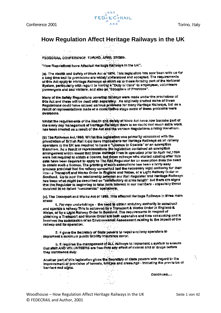

### <span id="page-35-0"></span>**How Regulation Affect Heritage Railways in the UK**

FSDECRAIL CONFERENCE, TORINO, AFRIL 27/28th.

"How Regulations have Affected Heritage Railways in the UK".

(a). The Health and Safety at Work Act of 1974, This legislation has now been with us for E long time and its provisions are widely greaterious and accepted. The requirements of this Act apply to Harltage Railways all stuck as to those forming part of the National System, particularly with regard to having a "Duty of Cara" to employees, volunteers Exemployers and and visitors, and also as "Cocuplers of Promises".

Many of the Safety Regulations covering railways were made under the provisions of this Act and these will be deelt with separately. As originally drafted nome of these Regulations could have onteed serious problems for many Heritage Railways, but as a result or representations hade at a consultative stage some of these problems were overcoma.

Writet the requirements of the Health this Statety at Work Act have now become part of the every day management of Heritage Railweys there is no doubt that much extra work has been created as a result of the Act and the various Regulations arising trensfrom.

(b) The Railways Act, 1863. Whilet this jegisleden was primerly concerned with the privatistion of Sritish Rell it did have implications for Hsritage Relivays as all raliway operators in the UK are required to have a "Libence to Operate" or an exemption therefrom. As a result of representations the legislation contained an exemption energement which meant that those Herrings fines in uperation prior to April 1st,1884 were hot required to obtain a license, but these railways who started running after this date have been required to apply to The Rak Regulator for an exemption from the need to obtain such a licence. The granting of such exemptions has been a ratify easy process previded that the railway concertied had the necassary legal authority for their line - a Transport and Works Order in England and Wales, or a Light Railway Order in Scotland. Up to now the relationship between our Rull Regulator and Heritage Rullways has been what might be described as "entistantory at arms langth" but there are signs that the Regulator is beginning to take more interest in our members - especially three Involved in so estiad "commercial" operations.

(c), The Transport and Works Act of 1992. This affected Haritage Rollways in three main areas:

1. For now undertakings - the need to obtain statutory authority to construct and operate a relivery This is achieved by a Transport & Works Order in England & Wales, of by a Light Railway Order in Bootlend. The requirements in respect of obteining a Transport and Works Order are both expensive and time constituting and it Involved the submission of an Environmental Assessment misting to the impact of the ratiway and his operation.

2. It gave the Secretary of State powers to require railway operators to Implement a minimum public liebility insurance cover.

3. It requires the management of ALL railways to implement a system to ensure that staff AHD VOI. UNTEERS are free from any effect of alcohol and or drugs before they commence duty.

Another part of this legislation gives the Becretary of State powers with regard to the improvement of provision of tunnels, bridges and oresultgs - including the provision of barders and signs.

الريز آباد

Continues....

Woodhouse – How Regulation Affect Heritage Railways in the UK Seite 1 von 42 © FEDECRAIL and Author, 2001

ì.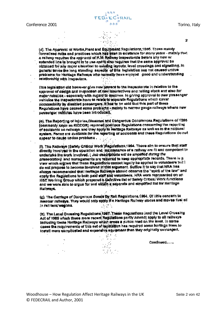

 $\begin{bmatrix} \mathbf{1}_{11} & \mathbf{1}_{12} \\ \mathbf{1}_{11} & \mathbf{1}_{12} \\ \mathbf{1}_{11} & \mathbf{1}_{12} \end{bmatrix} \mathbf{1}_{\mathbf{1}}$ in Albert

A TANA

 $\overline{z}$ 

(d). The Approval of Works, Plent and Equipment Regulations, 1986. These mainly formationd rules and practices which had wenn in existence for many years - mainly that a relively regultes the seproval of H.M. Referry inspectorate before any new orextended line is brought in to use and it also requires that the seme approval be obtained for any major siteration to exigting layouts, level crossings and signaliting. In general terms the long standing aspects of this legislation has not caused undtreproblems for Heritage Railways who normally have enjoyed good and understanding reintionship with inspactors. tafar tum

This legislation did however give now gowers to the inspectorate in relation to the approval of design and inspection of new incompletives and folling stock and also for major rebuilds - especially with regard to epeches. In giving approval to new passenger vehicles the inspectorate have to relate to experate Repulsitions which covar accessebility by disabled passengers. It has to be seld that this part of these Regulations have caused some problems - mainty to narrow gauge railways where now passenger vehicles have been introduced.

(e). The Reporting of injuries, Diseases and Dangerous Occurences Requisitions of 1996 foemmenty knivn as RIDDOR) replaced provious Regulations concerning the reporting of accidents on relivave and they spoly to Heritage Rathvaye as well as to the national system. Nexms are available for the reporting of accidents and these Regulations do not appear to cauge undue problems.

(f). The Railways (Safety Critical Work )Regulations 1994. These aim to ensure that staff directly involving in the operation and, maintenance of a railway are it and competent to undertake the work involved, [ Job descriptions will be amplified during the presentation) and managements are required to keep appropriate records. There is a view which argues that these Regulations cannot legally be applied to volunteers but I do not propose to become involved in this argument. Suffice it to say that HRA has always recommended that Heritage Ralivarys should observe the "spirit of the law" and apply the Regulations to both paid staff and volunteers. HRA were reprosented on an Hall Working Group which prepared a distritive list of Safety Critical Work functions and we were able to argue for and obtain a separate and eimplified list for Heritage Railways.

(g). The Carriage of Dangerous Goods By Reli Regulations, 1984. Of little concern to member rativays. They would only apply if a Haritage Railway stores and moves fuel oil In rail tank wagona. 法法官

(h). The Layel Creasing Regulations 1997. These Regulations (and the Layel Crossing Act of 1988 which these more recent Regulations partly amend) apply to all railways Including that's Heritage Railways which were a public road on the lavel. In some cases the requirements of this not of teglelation has required some horitage lines to ingtail more complicated and expensive equipment than they originally enviasged.

Timor  $\frac{1}{2} \sum_{i=1}^N \frac{d_i}{2}$ in Alba

Continued......

 $\mathbb{R}^2$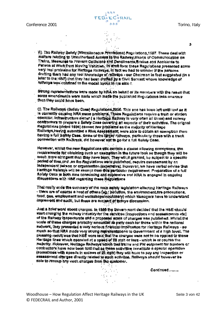

والأرابي

 $\mathbf{A}$ 

(i) The Railway Sefety (Mincellaneous Prinvisions) Requisitons 1997. These deal with matters relating to Unauthorized Access to the Railway, Means of Communication on Treins, Measures to Prevent Collisions and Derailments Brakes and Accidents to Person at Work from Meving Vehicles. In staff form these Regulations procented some very real problems for Hertinga Railways, it fact we had to wonder if the parsons. drafting them had any real knowledge of railways - our Chairman in fact suggested (in a leter to the HSE) that they had been drafted by a Civil Servant whose knowledge of reliways was confined to the model layout in nis attic !.

Strong representations were made by HRA on behalf of its mainters with the result that some emendments were made which made the published Regulations less or arous then they could have been.

(!). The Railways (Safety Case) Regulations, 2000. This one has been jeft until last as it is currently cauging hits come problems. These Regulations require a train or station operator, lettrastructure owner (a Hertzege Rallway is very often ail thros) and railway contractors to prepare a Safety Case covering all espects of their solivities. The orignal Regulations (dated 1994) caused few problems as the majority of Herrians Railways, having submitted a Rick Assessment, were able to obtain an exemption from baving a full selety Case. Some of the larger reliways, particularly those with a track connection with Railtrack, did however out to go for a full serely Case.

 $\mathcal{C}_{\mathcal{A}}$  ,  $\mathcal{C}_{\mathcal{A}}$ Nowever, whilst the new Regulations still contain a clause allowing exemptions, the requirements for obtoining such an examption in the future look as though they will be much more stringent than they have book. They will if granted, be subject to a specific period of 2mg and , as the Regulations were published, require assessment by an independent person or organisation (expendive). However, we have verbal advice that Haritsge Relways will be exampt from this particular requirement. Preparation of a full Asialy Caus is both ame consuming and expansive and HRA is engaged in ongoing discussions with HSE regarding these Regulations

That really strong the summary of the main seriety legislation affecting Heritage Railways. - there are of course a host of others (sg.; policition, the environment fire procedulons, food, gas, employment and werkshops/machinery) which hisnagors have to understand implement and sudit, but these are not part of todays discussion.

Just a brist work shout charges. In 1985 the Government decided that the HSE should start charging the railway industry for the services (inspections and esceedments etc) of the Railway inspectorate and a proposed scale of charges was published. Whilst the scale of these charges probably amounted to patty cash for those within the national natwork, they presented a very serious finational implication for Heritage Rafiveys - so much so that HRA made vary streng regresentations to Government at a high level. The pleasing result was that HSE were told that the charges were not to be applied to those Heritage lines which operated at a speed of 28 meh or less - which is or course the mejority. However, Heritage Reliways which test truins and FW sulpment for bunders or contractors have now been told that as these notivities constitute a special operation. (somatimes with speeds in excess of 25 mph) they will have to pay any inspection or assessment charges directly related to each activites. Reliways should however be able to recoup any each charges from the austomer. **TATITU** 

ang pang **SAN** 

Continued………

Woodhouse – How Regulation Affect Heritage Railways in the UK Seite 3 von 42 © FEDECRAIL and Author, 2001

 $\label{eq:2} \frac{V_{\rm{eff}}}{\hbar} = \frac{1}{\hbar} \frac{1}{\hbar} \frac{1}{\hbar} \frac{d\phi}{\phi} \, ,$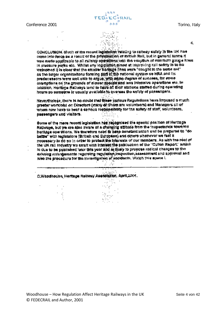

التجيبية 22 - 1946<br>1950 - 1950 - 1950<br>1950 - 1950 - 1950

4.

CONCLUSION, WHICH of the recent legislation relating to relively safety in the UK has come into force as a regult of the orivate stran of British Rail, but in general terms it was made applicable to all railway operations with the execution of minimum patigle lines. In pleasure parks etc. Whilst any legicialish almod at improving rall seriety is to be welcomed it is plear that the smaller haritage lines were "cought in the same net" as the larger organizations forming part c) trained averein so HRA and its predecessors were well usle to argue. with sems degree of audience, for some examptions on the grounds of slower specific and less intensive operations etc. In addition. Heritage Railways tend to have all their stations statted during operating. hours as someone in usually available to oversea the safety of pansengers.

Nevertheless, there is no doubt that these yarious Reputedons have imposed a much greater workload on Directors (many of them are volunteers) and Managers all of whom now have to bear a serious responsibility for the safety of staff, volunteers, passengers and visitors.

Some of the more recent legislation her recognised the special position of Heritage Rajiwaye, but we are also sware of a changing attitude from the inepsotorate towards heritage operations. We measure need to keep constant watch and be prepared to "do battle" with legislators (British and European) and others whenever we feel it nocessary to do so in order to protect the interests of our members. As with the rest of the UK rail industry we await with interest the publication of the "Cullien Report" which is due to be published later this year and sellicely to propose radical changes to the existing strangements regarding regulation, inspection, assessment and approval and sise the procedure for the investigation of accidents, watch this space i.

13 A

94)

 $\mathcal{P}^{\text{L}}_{\text{L}}$  .

W C.Weedheuse, Hertuge Railway Association, April 2001. 778.

 $\cdot$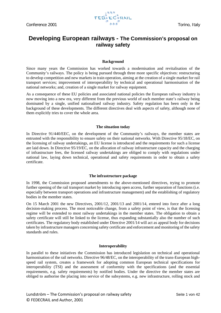

### <span id="page-39-0"></span>**Developing European railways - The Commission's proposal on railway safety**

#### **Background**

Since many years the Commission has worked towards a modernisation and revitalisation of the Community's railways. The policy is being pursued through three more specific objectives: restructuring to develop competition and new markets in train operation, aiming at the creation of a single market for rail transport services; improvement of interoperability by technical and operational harmonisation of the national networks; and, creation of a single market for railway equipment.

As a consequence of these EU policies and associated national policies the European railway industry is now moving into a new era, very different from the previous world of each member state's railway being dominated by a single, unified nationalised railway industry. Safety regulation has been only in the background of these developments. The different directives deal with aspects of safety, although none of them explicitly tries to cover the whole area.

#### **The situation today**

In Directive 91/440/EEC, on the development of the Community's railways, the member states are entrusted with the responsibility to ensure safety on their national networks. With Directive 95/18/EC, on the licensing of railway undertakings, an EU license is introduced and the requirements for such a license are laid down. In Directive 95/19/EC, on the allocation of railway infrastructure capacity and the charging of infrastructure fees, the licensed railway undertakings are obliged to comply with regulations under national law, laying down technical, operational and safety requirements in order to obtain a safety certificate.

#### **The infrastructure package**

In 1998, the Commission proposed amendments to the above-mentioned directives, trying to promote further opening of the rail transport market by introducing open access, further separation of functions (i.e. especially between transport operations and infrastructure management) and the establishing of regulatory bodies in the member states.

On 15 March 2001 the new Directives, 2001/12, 2001/13 and 2001/14, entered into force after a long decision-making process. The most noticeable change, from a safety point of view, is that the licensing regime will be extended to most railway undertakings in the member states. The obligation to obtain a safety certificate will still be linked to the license, thus expanding substantially also the number of such certificates. The regulatory body established under Directive 2001/14 will act as appeal body for decisions taken by infrastructure managers concerning safety certificate and enforcement and monitoring of the safety standards and rules.

#### **Interoperability**

In parallel to these initiatives the Commission has introduced legislation on technical and operational harmonisation of the rail networks. Directive 96/48/EC, on the interoperability of the trans-European highspeed rail system, creates a framework for adopting common European technical specifications for interoperability (TSI) and the assessment of conformity with the specifications (and the essential requirements, e.g. safety requirements) by notified bodies. Under the directive the member states are obliged to authorise the placing into service of the subsystems, e.g. new infrastructure, rolling stock and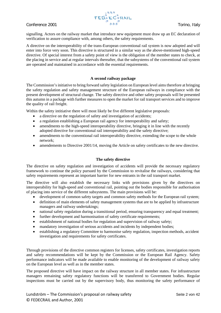

signalling. Actors on the railway market that introduce new equipment must draw up an EC declaration of verification to assure compliance with, among others, the safety requirements.

A directive on the interoperability of the trans-European conventional rail system is now adopted and will enter into force very soon. This directive is structured in a similar way as the above-mentioned high-speed directive. Of special interest from a safety point of view is the obligation of the member states to check, at the placing in service and at regular intervals thereafter, that the subsystems of the conventional rail system are operated and maintained in accordance with the essential requirements.

#### **A second railway package**

The Commission's initiative to bring forward safety legislation on European level aims therefore at bringing the safety regulation and safety management structure of the European railways in compliance with the present development of structural change. The safety directive and other safety proposals will be presented this autumn in a package with further measures to open the market for rail transport services and to improve the quality of rail freight.

Within the safety intitiative there will most likely be five different legislative proposals:

- a directive on the regulation of safety and investigation of accidents;
- a regulation establishing a European rail agency for interoperability and safety;
- amendments to the high-speed interoperability directive, bringing it in line with the recently adopted directive for conventional rail interoperability and the safety directive;
- amendments to the conventional rail interoperability directive, extending the scope to the whole network;
- amendements to Directive 2001/14, moving the Article on safety certificates to the new directive.

#### **The safety directive**

The directive on safety regulation and investigation of accidents will provide the necessary regulatory framework to continue the policy pursued by the Commission to revitalise the railways, considering that safety requirements represent an important barrier for new entrants in the rail transport market.

The directive will also establish the necessary links with provisions given by the directives on interoperability for high-speed and conventional rail, pointing out the bodies responsible for authorisation of placing into service of the different subsystems. The main provisions will be:

- development of common safety targets and common safety methods for the European rail system;
- definition of main elements of safety management systems that are to be applied by infrastructure managers and railway undertakings;
- national safety regulation during a transitional period, ensuring transparency and equal treatment;
- further development and harmonisation of safety certificate requirements;
- establishment of national bodies for regulation and supervision of railway safety;
- mandatory investigation of serious accidents and incidents by independent bodies;
- establishing a regulatory Committee to harmonise safety regulation, inspection methods, accident investigation and requirements for safety certificates.

Through provisions of the directive common registers for licenses, safety certificates, investigation reports and safety recommendations will be kept by the Commission or the European Rail Agency. Safety performance indicators will be made available to enable monitoring of the development of railway safety on the European level as well as in the member states.

The proposed directive will have impact on the railway structure in all member states. For infrastructure managers remaining safety regulatory functions will be transferred to Government bodies. Regular inspections must be carried out by the supervisory body, thus monitoring the safety performance of